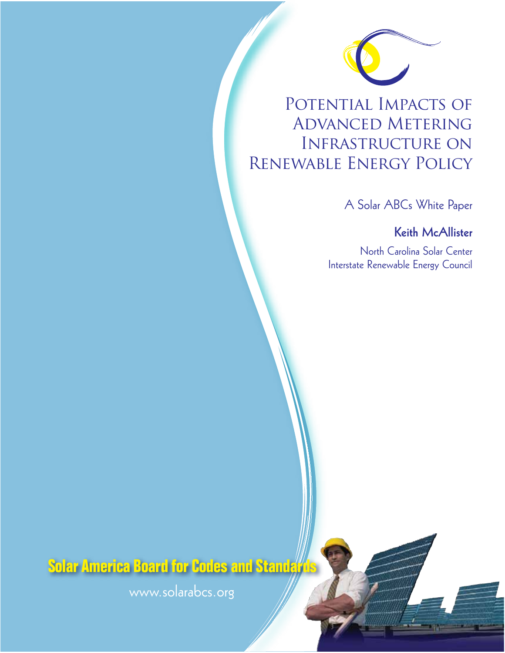

# POTENTIAL IMPACTS OF Advanced Metering Infrastructure on Renewable Energy Policy

A Solar ABCs White Paper

**Keith McAllister**

North Carolina Solar Center Interstate Renewable Energy Council

**Solar America Board for Codes and Standards** 

www.solarabcs.org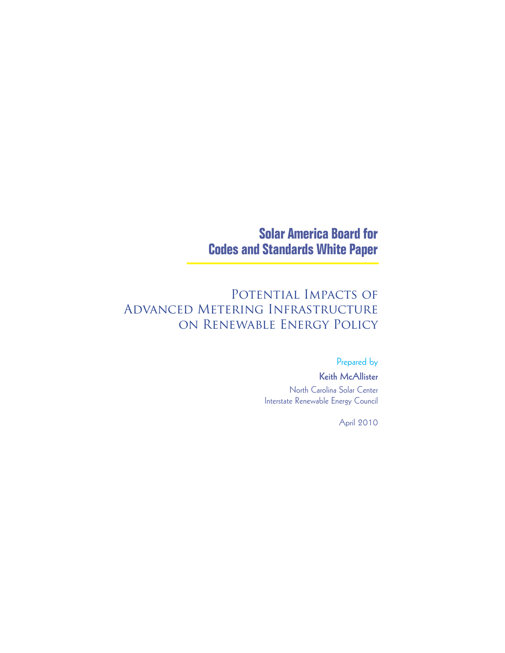# **Solar America Board for Codes and Standards White Paper**

# POTENTIAL IMPACTS OF Advanced Metering Infrastructure on Renewable Energy Policy

### Prepared by

### **Keith McAllister** North Carolina Solar Center Interstate Renewable Energy Council

April 2010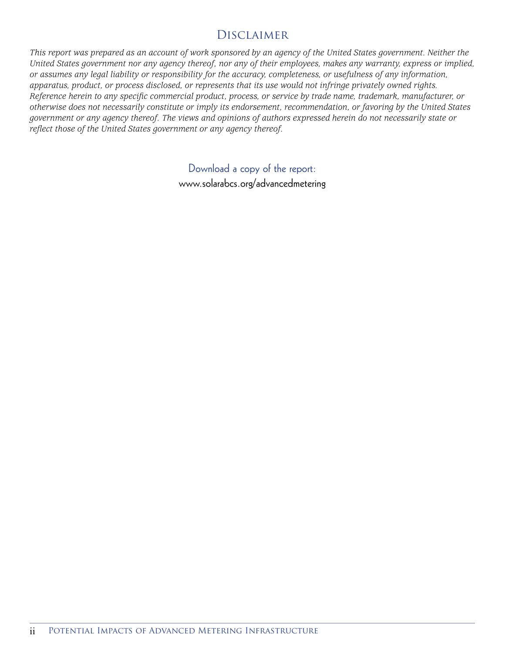# Disclaimer

*This report was prepared as an account of work sponsored by an agency of the United States government. Neither the United States government nor any agency thereof, nor any of their employees, makes any warranty, express or implied, or assumes any legal liability or responsibility for the accuracy, completeness, or usefulness of any information, apparatus, product, or process disclosed, or represents that its use would not infringe privately owned rights. Reference herein to any specific commercial product, process, or service by trade name, trademark, manufacturer, or otherwise does not necessarily constitute or imply its endorsement, recommendation, or favoring by the United States government or any agency thereof. The views and opinions of authors expressed herein do not necessarily state or reflect those of the United States government or any agency thereof.*

> Download a copy of the report: www.solarabcs.org/advancedmetering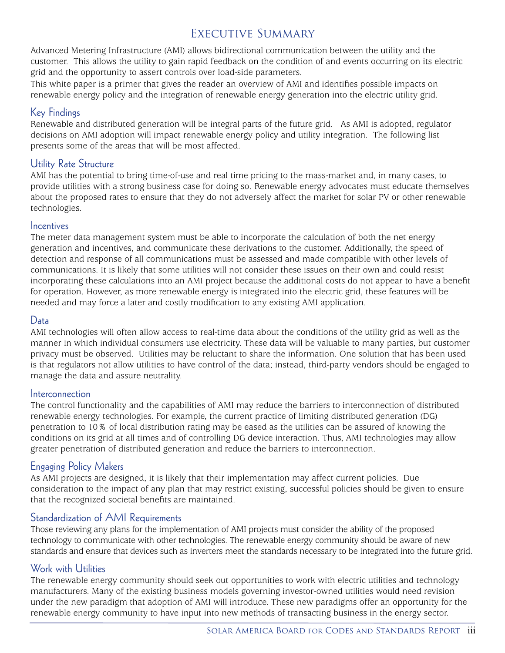# Executive Summary

Advanced Metering Infrastructure (AMI) allows bidirectional communication between the utility and the customer. This allows the utility to gain rapid feedback on the condition of and events occurring on its electric grid and the opportunity to assert controls over load-side parameters.

This white paper is a primer that gives the reader an overview of AMI and identifies possible impacts on renewable energy policy and the integration of renewable energy generation into the electric utility grid.

### Key Findings

Renewable and distributed generation will be integral parts of the future grid. As AMI is adopted, regulator decisions on AMI adoption will impact renewable energy policy and utility integration. The following list presents some of the areas that will be most affected.

### Utility Rate Structure

AMI has the potential to bring time-of-use and real time pricing to the mass-market and, in many cases, to provide utilities with a strong business case for doing so. Renewable energy advocates must educate themselves about the proposed rates to ensure that they do not adversely affect the market for solar PV or other renewable technologies.

### **Incentives**

The meter data management system must be able to incorporate the calculation of both the net energy generation and incentives, and communicate these derivations to the customer. Additionally, the speed of detection and response of all communications must be assessed and made compatible with other levels of communications. It is likely that some utilities will not consider these issues on their own and could resist incorporating these calculations into an AMI project because the additional costs do not appear to have a benefit for operation. However, as more renewable energy is integrated into the electric grid, these features will be needed and may force a later and costly modification to any existing AMI application.

### Data

AMI technologies will often allow access to real-time data about the conditions of the utility grid as well as the manner in which individual consumers use electricity. These data will be valuable to many parties, but customer privacy must be observed. Utilities may be reluctant to share the information. One solution that has been used is that regulators not allow utilities to have control of the data; instead, third-party vendors should be engaged to manage the data and assure neutrality.

### Interconnection

The control functionality and the capabilities of AMI may reduce the barriers to interconnection of distributed renewable energy technologies. For example, the current practice of limiting distributed generation (DG) penetration to 10% of local distribution rating may be eased as the utilities can be assured of knowing the conditions on its grid at all times and of controlling DG device interaction. Thus, AMI technologies may allow greater penetration of distributed generation and reduce the barriers to interconnection.

### Engaging Policy Makers

As AMI projects are designed, it is likely that their implementation may affect current policies. Due consideration to the impact of any plan that may restrict existing, successful policies should be given to ensure that the recognized societal benefits are maintained.

### Standardization of AMI Requirements

Those reviewing any plans for the implementation of AMI projects must consider the ability of the proposed technology to communicate with other technologies. The renewable energy community should be aware of new standards and ensure that devices such as inverters meet the standards necessary to be integrated into the future grid.

### Work with Utilities

The renewable energy community should seek out opportunities to work with electric utilities and technology manufacturers. Many of the existing business models governing investor-owned utilities would need revision under the new paradigm that adoption of AMI will introduce. These new paradigms offer an opportunity for the renewable energy community to have input into new methods of transacting business in the energy sector.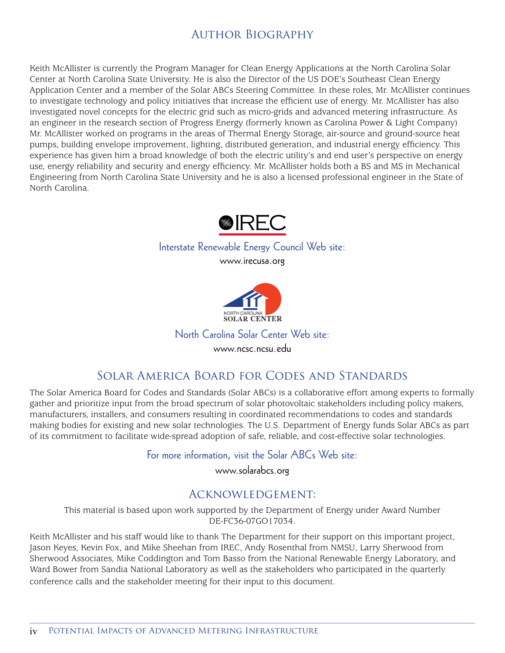# Author Biography

Keith McAllister is currently the Program Manager for Clean Energy Applications at the North Carolina Solar Center at North Carolina State University. He is also the Director of the US DOE's Southeast Clean Energy Application Center and a member of the Solar ABCs Steering Committee. In these roles, Mr. McAllister continues to investigate technology and policy initiatives that increase the efficient use of energy. Mr. McAllister has also investigated novel concepts for the electric grid such as micro-grids and advanced metering infrastructure. As an engineer in the research section of Progress Energy (formerly known as Carolina Power & Light Company) Mr. McAllister worked on programs in the areas of Thermal Energy Storage, air-source and ground-source heat pumps, building envelope improvement, lighting, distributed generation, and industrial energy efficiency. This experience has given him a broad knowledge of both the electric utility's and end user's perspective on energy use, energy reliability and security and energy efficiency. Mr. McAllister holds both a BS and MS in Mechanical Engineering from North Carolina State University and he is also a licensed professional engineer in the State of North Carolina.



## Interstate Renewable Energy Council Web site:

www.irecusa.org



North Carolina Solar Center Web site:

www.ncsc.ncsu.edu

# Solar America Board for Codes and Standards

The Solar America Board for Codes and Standards (Solar ABCs) is a collaborative effort among experts to formally gather and prioritize input from the broad spectrum of solar photovoltaic stakeholders including policy makers, manufacturers, installers, and consumers resulting in coordinated recommendations to codes and standards making bodies for existing and new solar technologies. The U.S. Department of Energy funds Solar ABCs as part of its commitment to facilitate wide-spread adoption of safe, reliable, and cost-effective solar technologies.

For more information, visit the Solar ABCs Web site:

www.solarabcs.org

# Acknowledgement:

This material is based upon work supported by the Department of Energy under Award Number DE-FC36-07GO17034.

Keith McAllister and his staff would like to thank The Department for their support on this important project, Jason Keyes, Kevin Fox, and Mike Sheehan from IREC, Andy Rosenthal from NMSU, Larry Sherwood from Sherwood Associates, Mike Coddington and Tom Basso from the National Renewable Energy Laboratory, and Ward Bower from Sandia National Laboratory as well as the stakeholders who participated in the quarterly conference calls and the stakeholder meeting for their input to this document.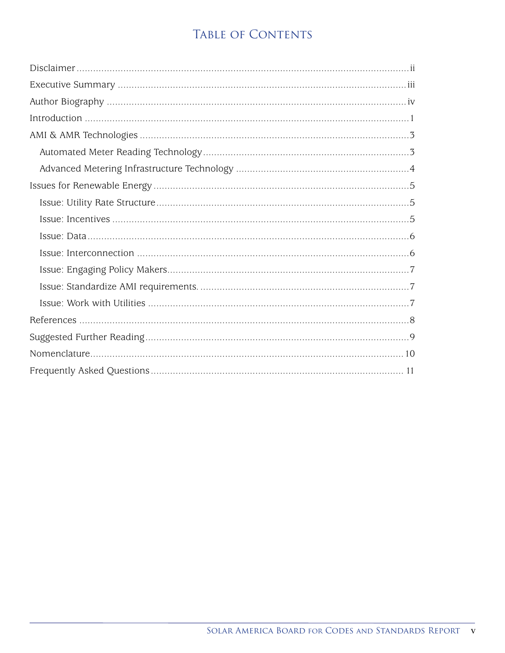# TABLE OF CONTENTS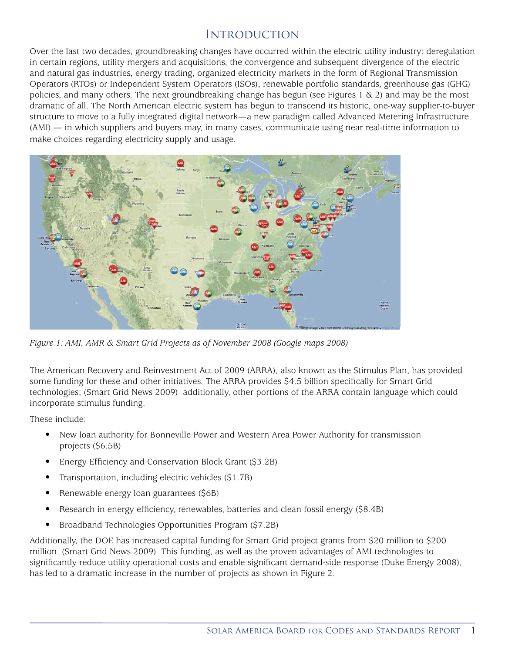### **INTRODUCTION**

Over the last two decades, groundbreaking changes have occurred within the electric utility industry: deregulation in certain regions, utility mergers and acquisitions, the convergence and subsequent divergence of the electric and natural gas industries, energy trading, organized electricity markets in the form of Regional Transmission Operators (RTOs) or Independent System Operators (ISOs), renewable portfolio standards, greenhouse gas (GHG) policies, and many others. The next groundbreaking change has begun (see Figures 1  $\&$  2) and may be the most dramatic of all. The North American electric system has begun to transcend its historic, one-way supplier-to-buyer structure to move to a fully integrated digital network—a new paradigm called Advanced Metering Infrastructure (AMI) — in which suppliers and buyers may, in many cases, communicate using near real-time information to make choices regarding electricity supply and usage.



*Figure 1: AMI, AMR & Smart Grid Projects as of November 2008 (Google maps 2008)*

The American Recovery and Reinvestment Act of 2009 (ARRA), also known as the Stimulus Plan, has provided some funding for these and other initiatives. The ARRA provides \$4.5 billion specifically for Smart Grid technologies; (Smart Grid News 2009) additionally, other portions of the ARRA contain language which could incorporate stimulus funding.

These include:

- New loan authority for Bonneville Power and Western Area Power Authority for transmission projects (\$6.5B)
- Energy Efficiency and Conservation Block Grant (\$3.2B)
- Transportation, including electric vehicles (\$1.7B)
- Renewable energy loan guarantees (\$6B)
- Research in energy efficiency, renewables, batteries and clean fossil energy (\$8.4B)
- Broadband Technologies Opportunities Program (\$7.2B)

Additionally, the DOE has increased capital funding for Smart Grid project grants from \$20 million to \$200 million. (Smart Grid News 2009) This funding, as well as the proven advantages of AMI technologies to significantly reduce utility operational costs and enable significant demand-side response (Duke Energy 2008), has led to a dramatic increase in the number of projects as shown in Figure 2.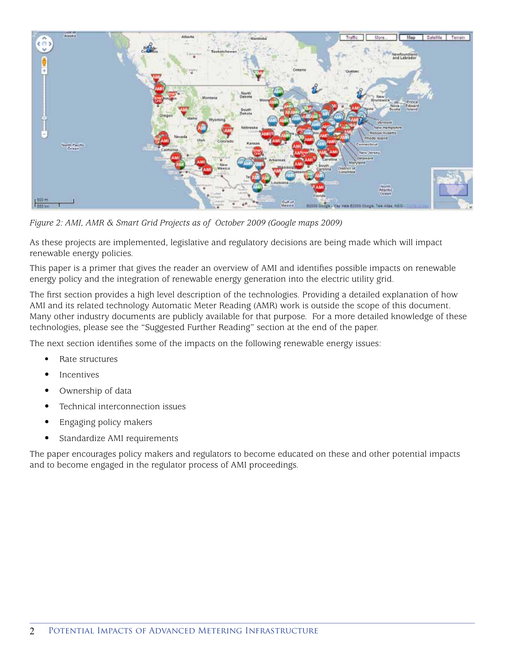

*Figure 2: AMI, AMR & Smart Grid Projects as of October 2009 (Google maps 2009)*

As these projects are implemented, legislative and regulatory decisions are being made which will impact renewable energy policies.

This paper is a primer that gives the reader an overview of AMI and identifies possible impacts on renewable energy policy and the integration of renewable energy generation into the electric utility grid.

The first section provides a high level description of the technologies. Providing a detailed explanation of how AMI and its related technology Automatic Meter Reading (AMR) work is outside the scope of this document. Many other industry documents are publicly available for that purpose. For a more detailed knowledge of these technologies, please see the "Suggested Further Reading" section at the end of the paper.

The next section identifies some of the impacts on the following renewable energy issues:

- Rate structures
- **Incentives**
- Ownership of data
- Technical interconnection issues
- Engaging policy makers
- Standardize AMI requirements

The paper encourages policy makers and regulators to become educated on these and other potential impacts and to become engaged in the regulator process of AMI proceedings.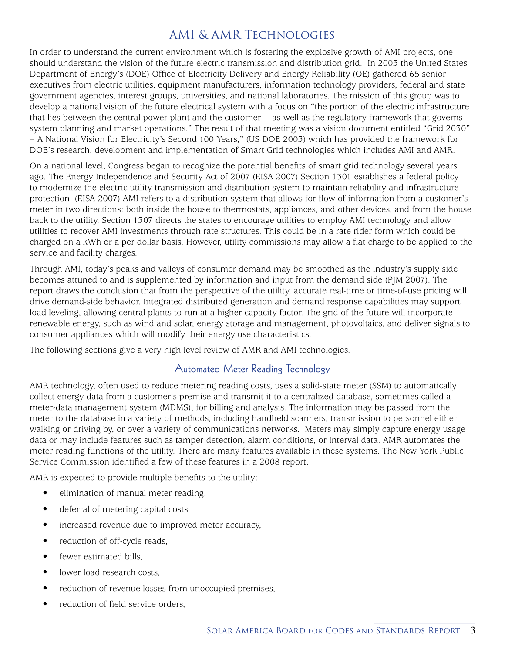# AMI & AMR Technologies

In order to understand the current environment which is fostering the explosive growth of AMI projects, one should understand the vision of the future electric transmission and distribution grid. In 2003 the United States Department of Energy's (DOE) Office of Electricity Delivery and Energy Reliability (OE) gathered 65 senior executives from electric utilities, equipment manufacturers, information technology providers, federal and state government agencies, interest groups, universities, and national laboratories. The mission of this group was to develop a national vision of the future electrical system with a focus on "the portion of the electric infrastructure that lies between the central power plant and the customer —as well as the regulatory framework that governs system planning and market operations." The result of that meeting was a vision document entitled "Grid 2030" – A National Vision for Electricity's Second 100 Years," (US DOE 2003) which has provided the framework for DOE's research, development and implementation of Smart Grid technologies which includes AMI and AMR.

On a national level, Congress began to recognize the potential benefits of smart grid technology several years ago. The Energy Independence and Security Act of 2007 (EISA 2007) Section 1301 establishes a federal policy to modernize the electric utility transmission and distribution system to maintain reliability and infrastructure protection. (EISA 2007) AMI refers to a distribution system that allows for flow of information from a customer's meter in two directions: both inside the house to thermostats, appliances, and other devices, and from the house back to the utility. Section 1307 directs the states to encourage utilities to employ AMI technology and allow utilities to recover AMI investments through rate structures. This could be in a rate rider form which could be charged on a kWh or a per dollar basis. However, utility commissions may allow a flat charge to be applied to the service and facility charges.

Through AMI, today's peaks and valleys of consumer demand may be smoothed as the industry's supply side becomes attuned to and is supplemented by information and input from the demand side (PJM 2007). The report draws the conclusion that from the perspective of the utility, accurate real-time or time-of-use pricing will drive demand-side behavior. Integrated distributed generation and demand response capabilities may support load leveling, allowing central plants to run at a higher capacity factor. The grid of the future will incorporate renewable energy, such as wind and solar, energy storage and management, photovoltaics, and deliver signals to consumer appliances which will modify their energy use characteristics.

The following sections give a very high level review of AMR and AMI technologies.

### Automated Meter Reading Technology

AMR technology, often used to reduce metering reading costs, uses a solid-state meter (SSM) to automatically collect energy data from a customer's premise and transmit it to a centralized database, sometimes called a meter-data management system (MDMS), for billing and analysis. The information may be passed from the meter to the database in a variety of methods, including handheld scanners, transmission to personnel either walking or driving by, or over a variety of communications networks. Meters may simply capture energy usage data or may include features such as tamper detection, alarm conditions, or interval data. AMR automates the meter reading functions of the utility. There are many features available in these systems. The New York Public Service Commission identified a few of these features in a 2008 report.

AMR is expected to provide multiple benefits to the utility:

- elimination of manual meter reading,
- deferral of metering capital costs,
- increased revenue due to improved meter accuracy,
- reduction of off-cycle reads,
- fewer estimated bills,
- lower load research costs,
- reduction of revenue losses from unoccupied premises,
- reduction of field service orders,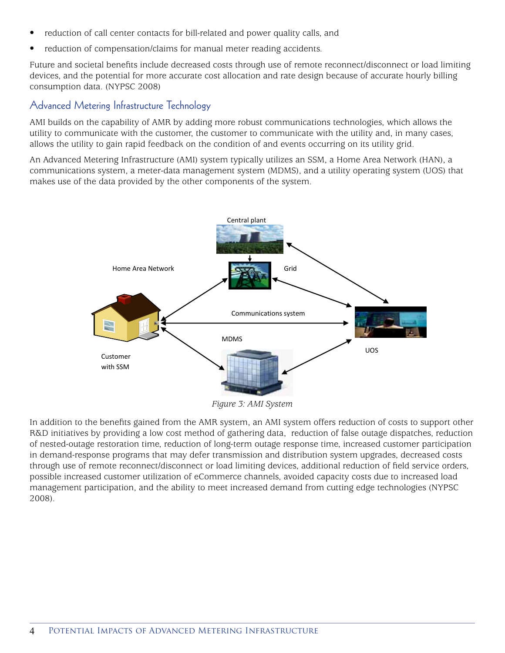- reduction of call center contacts for bill-related and power quality calls, and
- reduction of compensation/claims for manual meter reading accidents.

Future and societal benefits include decreased costs through use of remote reconnect/disconnect or load limiting devices, and the potential for more accurate cost allocation and rate design because of accurate hourly billing consumption data. (NYPSC 2008)

### Advanced Metering Infrastructure Technology

AMI builds on the capability of AMR by adding more robust communications technologies, which allows the utility to communicate with the customer, the customer to communicate with the utility and, in many cases, allows the utility to gain rapid feedback on the condition of and events occurring on its utility grid.

An Advanced Metering Infrastructure (AMI) system typically utilizes an SSM, a Home Area Network (HAN), a communications system, a meter-data management system (MDMS), and a utility operating system (UOS) that makes use of the data provided by the other components of the system.



*Figure 3: AMI System*

In addition to the benefits gained from the AMR system, an AMI system offers reduction of costs to support other R&D initiatives by providing a low cost method of gathering data, reduction of false outage dispatches, reduction of nested-outage restoration time, reduction of long-term outage response time, increased customer participation in demand-response programs that may defer transmission and distribution system upgrades, decreased costs through use of remote reconnect/disconnect or load limiting devices, additional reduction of field service orders, possible increased customer utilization of eCommerce channels, avoided capacity costs due to increased load management participation, and the ability to meet increased demand from cutting edge technologies (NYPSC 2008).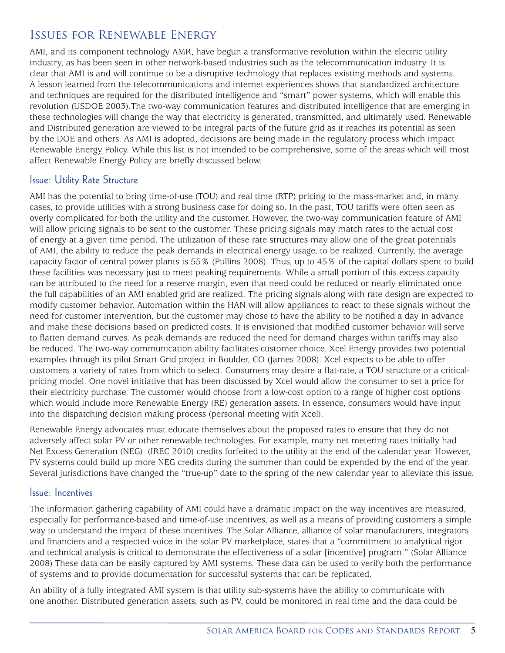# Issues for Renewable Energy

AMI, and its component technology AMR, have begun a transformative revolution within the electric utility industry, as has been seen in other network-based industries such as the telecommunication industry. It is clear that AMI is and will continue to be a disruptive technology that replaces existing methods and systems. A lesson learned from the telecommunications and internet experiences shows that standardized architecture and techniques are required for the distributed intelligence and "smart" power systems, which will enable this revolution (USDOE 2003).The two-way communication features and distributed intelligence that are emerging in these technologies will change the way that electricity is generated, transmitted, and ultimately used. Renewable and Distributed generation are viewed to be integral parts of the future grid as it reaches its potential as seen by the DOE and others. As AMI is adopted, decisions are being made in the regulatory process which impact Renewable Energy Policy. While this list is not intended to be comprehensive, some of the areas which will most affect Renewable Energy Policy are briefly discussed below.

### Issue: Utility Rate Structure

AMI has the potential to bring time-of-use (TOU) and real time (RTP) pricing to the mass-market and, in many cases, to provide utilities with a strong business case for doing so. In the past, TOU tariffs were often seen as overly complicated for both the utility and the customer. However, the two-way communication feature of AMI will allow pricing signals to be sent to the customer. These pricing signals may match rates to the actual cost of energy at a given time period. The utilization of these rate structures may allow one of the great potentials of AMI, the ability to reduce the peak demands in electrical energy usage, to be realized. Currently, the average capacity factor of central power plants is 55% (Pullins 2008). Thus, up to 45% of the capital dollars spent to build these facilities was necessary just to meet peaking requirements. While a small portion of this excess capacity can be attributed to the need for a reserve margin, even that need could be reduced or nearly eliminated once the full capabilities of an AMI enabled grid are realized. The pricing signals along with rate design are expected to modify customer behavior. Automation within the HAN will allow appliances to react to these signals without the need for customer intervention, but the customer may chose to have the ability to be notified a day in advance and make these decisions based on predicted costs. It is envisioned that modified customer behavior will serve to flatten demand curves. As peak demands are reduced the need for demand charges within tariffs may also be reduced. The two-way communication ability facilitates customer choice. Xcel Energy provides two potential examples through its pilot Smart Grid project in Boulder, CO (James 2008). Xcel expects to be able to offer customers a variety of rates from which to select. Consumers may desire a flat-rate, a TOU structure or a criticalpricing model. One novel initiative that has been discussed by Xcel would allow the consumer to set a price for their electricity purchase. The customer would choose from a low-cost option to a range of higher cost options which would include more Renewable Energy (RE) generation assets. In essence, consumers would have input into the dispatching decision making process (personal meeting with Xcel).

Renewable Energy advocates must educate themselves about the proposed rates to ensure that they do not adversely affect solar PV or other renewable technologies. For example, many net metering rates initially had Net Excess Generation (NEG) (IREC 2010) credits forfeited to the utility at the end of the calendar year. However, PV systems could build up more NEG credits during the summer than could be expended by the end of the year. Several jurisdictions have changed the "true-up" date to the spring of the new calendar year to alleviate this issue.

#### Issue: Incentives

The information gathering capability of AMI could have a dramatic impact on the way incentives are measured, especially for performance-based and time-of-use incentives, as well as a means of providing customers a simple way to understand the impact of these incentives. The Solar Alliance, alliance of solar manufacturers, integrators and financiers and a respected voice in the solar PV marketplace, states that a "commitment to analytical rigor and technical analysis is critical to demonstrate the effectiveness of a solar [incentive] program." (Solar Alliance 2008) These data can be easily captured by AMI systems. These data can be used to verify both the performance of systems and to provide documentation for successful systems that can be replicated.

An ability of a fully integrated AMI system is that utility sub-systems have the ability to communicate with one another. Distributed generation assets, such as PV, could be monitored in real time and the data could be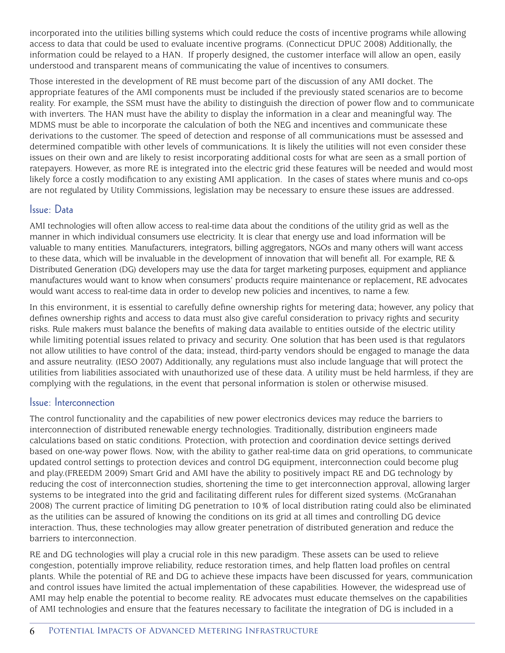incorporated into the utilities billing systems which could reduce the costs of incentive programs while allowing access to data that could be used to evaluate incentive programs. (Connecticut DPUC 2008) Additionally, the information could be relayed to a HAN. If properly designed, the customer interface will allow an open, easily understood and transparent means of communicating the value of incentives to consumers.

Those interested in the development of RE must become part of the discussion of any AMI docket. The appropriate features of the AMI components must be included if the previously stated scenarios are to become reality. For example, the SSM must have the ability to distinguish the direction of power flow and to communicate with inverters. The HAN must have the ability to display the information in a clear and meaningful way. The MDMS must be able to incorporate the calculation of both the NEG and incentives and communicate these derivations to the customer. The speed of detection and response of all communications must be assessed and determined compatible with other levels of communications. It is likely the utilities will not even consider these issues on their own and are likely to resist incorporating additional costs for what are seen as a small portion of ratepayers. However, as more RE is integrated into the electric grid these features will be needed and would most likely force a costly modification to any existing AMI application. In the cases of states where munis and co-ops are not regulated by Utility Commissions, legislation may be necessary to ensure these issues are addressed.

### Issue: Data

AMI technologies will often allow access to real-time data about the conditions of the utility grid as well as the manner in which individual consumers use electricity. It is clear that energy use and load information will be valuable to many entities. Manufacturers, integrators, billing aggregators, NGOs and many others will want access to these data, which will be invaluable in the development of innovation that will benefit all. For example, RE  $\&$ Distributed Generation (DG) developers may use the data for target marketing purposes, equipment and appliance manufactures would want to know when consumers' products require maintenance or replacement, RE advocates would want access to real-time data in order to develop new policies and incentives, to name a few.

In this environment, it is essential to carefully define ownership rights for metering data; however, any policy that defines ownership rights and access to data must also give careful consideration to privacy rights and security risks. Rule makers must balance the benefits of making data available to entities outside of the electric utility while limiting potential issues related to privacy and security. One solution that has been used is that regulators not allow utilities to have control of the data; instead, third-party vendors should be engaged to manage the data and assure neutrality. (IESO 2007) Additionally, any regulations must also include language that will protect the utilities from liabilities associated with unauthorized use of these data. A utility must be held harmless, if they are complying with the regulations, in the event that personal information is stolen or otherwise misused.

#### Issue: Interconnection

The control functionality and the capabilities of new power electronics devices may reduce the barriers to interconnection of distributed renewable energy technologies. Traditionally, distribution engineers made calculations based on static conditions. Protection, with protection and coordination device settings derived based on one-way power flows. Now, with the ability to gather real-time data on grid operations, to communicate updated control settings to protection devices and control DG equipment, interconnection could become plug and play.(FREEDM 2009) Smart Grid and AMI have the ability to positively impact RE and DG technology by reducing the cost of interconnection studies, shortening the time to get interconnection approval, allowing larger systems to be integrated into the grid and facilitating different rules for different sized systems. (McGranahan 2008) The current practice of limiting DG penetration to 10% of local distribution rating could also be eliminated as the utilities can be assured of knowing the conditions on its grid at all times and controlling DG device interaction. Thus, these technologies may allow greater penetration of distributed generation and reduce the barriers to interconnection.

RE and DG technologies will play a crucial role in this new paradigm. These assets can be used to relieve congestion, potentially improve reliability, reduce restoration times, and help flatten load profiles on central plants. While the potential of RE and DG to achieve these impacts have been discussed for years, communication and control issues have limited the actual implementation of these capabilities. However, the widespread use of AMI may help enable the potential to become reality. RE advocates must educate themselves on the capabilities of AMI technologies and ensure that the features necessary to facilitate the integration of DG is included in a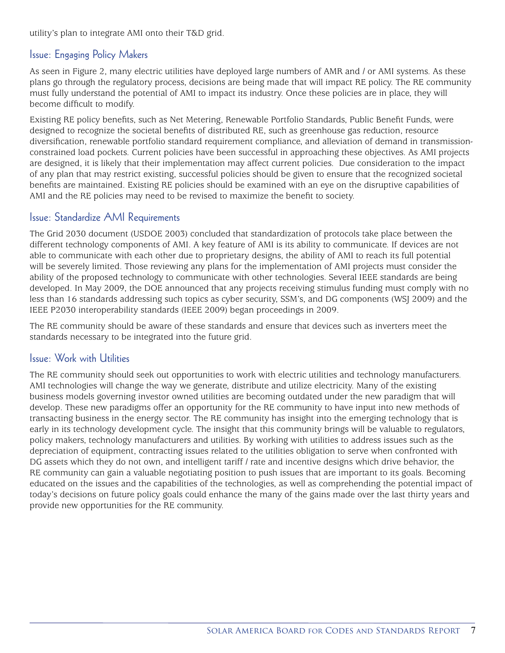utility's plan to integrate AMI onto their T&D grid.

### Issue: Engaging Policy Makers

As seen in Figure 2, many electric utilities have deployed large numbers of AMR and / or AMI systems. As these plans go through the regulatory process, decisions are being made that will impact RE policy. The RE community must fully understand the potential of AMI to impact its industry. Once these policies are in place, they will become difficult to modify.

Existing RE policy benefits, such as Net Metering, Renewable Portfolio Standards, Public Benefit Funds, were designed to recognize the societal benefits of distributed RE, such as greenhouse gas reduction, resource diversification, renewable portfolio standard requirement compliance, and alleviation of demand in transmissionconstrained load pockets. Current policies have been successful in approaching these objectives. As AMI projects are designed, it is likely that their implementation may affect current policies. Due consideration to the impact of any plan that may restrict existing, successful policies should be given to ensure that the recognized societal benefits are maintained. Existing RE policies should be examined with an eye on the disruptive capabilities of AMI and the RE policies may need to be revised to maximize the benefit to society.

### Issue: Standardize AMI Requirements

The Grid 2030 document (USDOE 2003) concluded that standardization of protocols take place between the different technology components of AMI. A key feature of AMI is its ability to communicate. If devices are not able to communicate with each other due to proprietary designs, the ability of AMI to reach its full potential will be severely limited. Those reviewing any plans for the implementation of AMI projects must consider the ability of the proposed technology to communicate with other technologies. Several IEEE standards are being developed. In May 2009, the DOE announced that any projects receiving stimulus funding must comply with no less than 16 standards addressing such topics as cyber security, SSM's, and DG components (WSJ 2009) and the IEEE P2030 interoperability standards (IEEE 2009) began proceedings in 2009.

The RE community should be aware of these standards and ensure that devices such as inverters meet the standards necessary to be integrated into the future grid.

### Issue: Work with Utilities

The RE community should seek out opportunities to work with electric utilities and technology manufacturers. AMI technologies will change the way we generate, distribute and utilize electricity. Many of the existing business models governing investor owned utilities are becoming outdated under the new paradigm that will develop. These new paradigms offer an opportunity for the RE community to have input into new methods of transacting business in the energy sector. The RE community has insight into the emerging technology that is early in its technology development cycle. The insight that this community brings will be valuable to regulators, policy makers, technology manufacturers and utilities. By working with utilities to address issues such as the depreciation of equipment, contracting issues related to the utilities obligation to serve when confronted with DG assets which they do not own, and intelligent tariff / rate and incentive designs which drive behavior, the RE community can gain a valuable negotiating position to push issues that are important to its goals. Becoming educated on the issues and the capabilities of the technologies, as well as comprehending the potential impact of today's decisions on future policy goals could enhance the many of the gains made over the last thirty years and provide new opportunities for the RE community.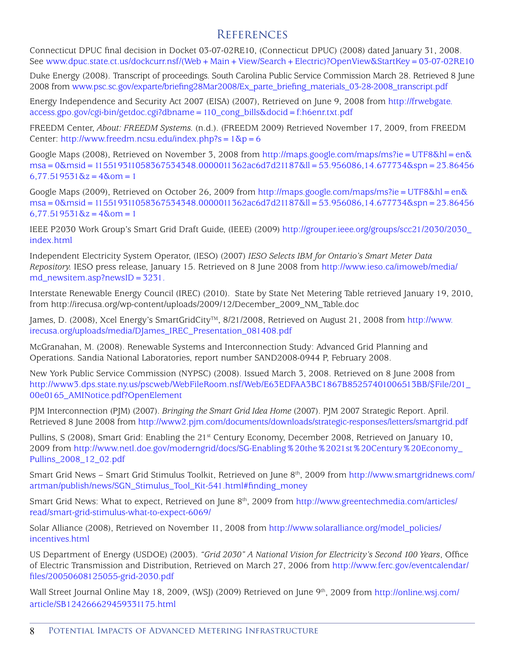### **REFERENCES**

Connecticut DPUC final decision in Docket 03-07-02RE10, (Connecticut DPUC) (2008) dated January 31, 2008. See www.dpuc.state.ct.us/dockcurr.nsf/(Web+Main+View/Search+Electric)?OpenView&StartKey=03-07-02RE10

Duke Energy (2008). Transcript of proceedings. South Carolina Public Service Commission March 28. Retrieved 8 June 2008 from www.psc.sc.gov/exparte/briefing28Mar2008/Ex\_parte\_briefing\_materials\_03-28-2008\_transcript.pdf

Energy Independence and Security Act 2007 (EISA) (2007), Retrieved on June 9, 2008 from http://frwebgate. access.gpo.gov/cgi-bin/getdoc.cgi?dbname=110\_cong\_bills&docid=f:h6enr.txt.pdf

FREEDM Center, *About: FREEDM Systems.* (n.d.). (FREEDM 2009) Retrieved November 17, 2009, from FREEDM Center: http://www.freedm.ncsu.edu/index.php?s =  $1\,\text{&p} = 6$ 

Google Maps (2008), Retrieved on November 3, 2008 from http://maps.google.com/maps/ms?ie=UTF8&hl=en& msa=0&msid=115519311058367534348.0000011362ac6d7d21187&ll=53.956086,14.677734&spn=23.86456  $6,77.519531\&z=4\&o$ om = 1

Google Maps (2009), Retrieved on October 26, 2009 from http://maps.google.com/maps/ms?ie=UTF8&hl=en& msa=0&msid=115519311058367534348.0000011362ac6d7d21187&ll=53.956086,14.677734&spn=23.86456  $6,77.519531\&z=4\&o$ om = 1

IEEE P2030 Work Group's Smart Grid Draft Guide, (IEEE) (2009) http://grouper.ieee.org/groups/scc21/2030/2030\_ index.html

Independent Electricity System Operator, (IESO) (2007) *IESO Selects IBM for Ontario's Smart Meter Data Repository.* IESO press release, January 15. Retrieved on 8 June 2008 from http://www.ieso.ca/imoweb/media/ md\_newsitem.asp?newsID=3231.

Interstate Renewable Energy Council (IREC) (2010). State by State Net Metering Table retrieved January 19, 2010, from http://irecusa.org/wp-content/uploads/2009/12/December\_2009\_NM\_Table.doc

James, D. (2008), Xcel Energy's SmartGridCity™, 8/21/2008, Retrieved on August 21, 2008 from http://www. irecusa.org/uploads/media/DJames\_IREC\_Presentation\_081408.pdf

McGranahan, M. (2008). Renewable Systems and Interconnection Study: Advanced Grid Planning and Operations. Sandia National Laboratories, report number SAND2008-0944 P, February 2008.

New York Public Service Commission (NYPSC) (2008). Issued March 3, 2008. Retrieved on 8 June 2008 from http://www3.dps.state.ny.us/pscweb/WebFileRoom.nsf/Web/E63EDFAA3BC1867B85257401006513BB/\$File/201\_ 00e0165\_AMINotice.pdf?OpenElement

PJM Interconnection (PJM) (2007). *Bringing the Smart Grid Idea Home* (2007). PJM 2007 Strategic Report. April. Retrieved 8 June 2008 from http://www2.pjm.com/documents/downloads/strategic-responses/letters/smartgrid.pdf

Pullins, S (2008), Smart Grid: Enabling the 21<sup>st</sup> Century Economy, December 2008, Retrieved on January 10, 2009 from http://www.netl.doe.gov/moderngrid/docs/SG-Enabling%20the%2021st%20Century%20Economy\_ Pullins\_2008\_12\_02.pdf

Smart Grid News – Smart Grid Stimulus Toolkit, Retrieved on June 8th, 2009 from http://www.smartgridnews.com/ artman/publish/news/SGN\_Stimulus\_Tool\_Kit-541.html#finding\_money

Smart Grid News: What to expect, Retrieved on June 8<sup>th</sup>, 2009 from http://www.greentechmedia.com/articles/ read/smart-grid-stimulus-what-to-expect-6069/

Solar Alliance (2008), Retrieved on November 11, 2008 from http://www.solaralliance.org/model\_policies/ incentives.html

US Department of Energy (USDOE) (2003). *"Grid 2030" A National Vision for Electricity's Second 100 Years*, Office of Electric Transmission and Distribution, Retrieved on March 27, 2006 from http://www.ferc.gov/eventcalendar/ files/20050608125055-grid-2030.pdf

Wall Street Journal Online May 18, 2009, (WSJ) (2009) Retrieved on June 9<sup>th</sup>, 2009 from http://online.wsj.com/ article/SB124266629459331175.html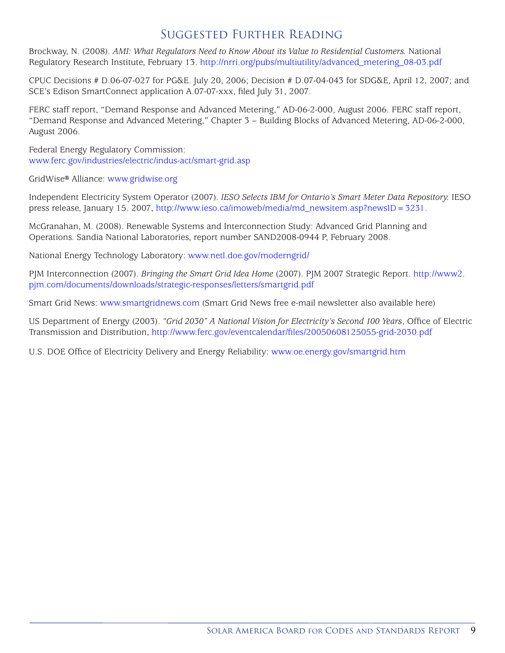# Suggested Further Reading

Brockway, N. (2008). *AMI: What Regulators Need to Know About its Value to Residential Customers.* National Regulatory Research Institute, February 13. http://nrri.org/pubs/multiutility/advanced\_metering\_08-03.pdf

CPUC Decisions # D.06-07-027 for PG&E. July 20, 2006; Decision # D.07-04-043 for SDG&E, April 12, 2007; and SCE's Edison SmartConnect application A.07-07-xxx, filed July 31, 2007.

FERC staff report, "Demand Response and Advanced Metering," AD-06-2-000, August 2006. FERC staff report, "Demand Response and Advanced Metering," Chapter 3 – Building Blocks of Advanced Metering, AD-06-2-000, August 2006.

Federal Energy Regulatory Commission: www.ferc.gov/industries/electric/indus-act/smart-grid.asp

GridWise® Alliance: www.gridwise.org

Independent Electricity System Operator (2007). *IESO Selects IBM for Ontario's Smart Meter Data Repository.* IESO press release, January 15. 2007, http://www.ieso.ca/imoweb/media/md\_newsitem.asp?newsID=3231.

McGranahan, M. (2008). Renewable Systems and Interconnection Study: Advanced Grid Planning and Operations. Sandia National Laboratories, report number SAND2008-0944 P, February 2008.

National Energy Technology Laboratory: www.netl.doe.gov/moderngrid/

PJM Interconnection (2007). *Bringing the Smart Grid Idea Home* (2007). PJM 2007 Strategic Report. http://www2. pjm.com/documents/downloads/strategic-responses/letters/smartgrid.pdf

Smart Grid News: www.smartgridnews.com (Smart Grid News free e-mail newsletter also available here)

US Department of Energy (2003). *"Grid 2030" A National Vision for Electricity's Second 100 Years*, Office of Electric Transmission and Distribution, http://www.ferc.gov/eventcalendar/files/20050608125055-grid-2030.pdf

U.S. DOE Office of Electricity Delivery and Energy Reliability: www.oe.energy.gov/smartgrid.htm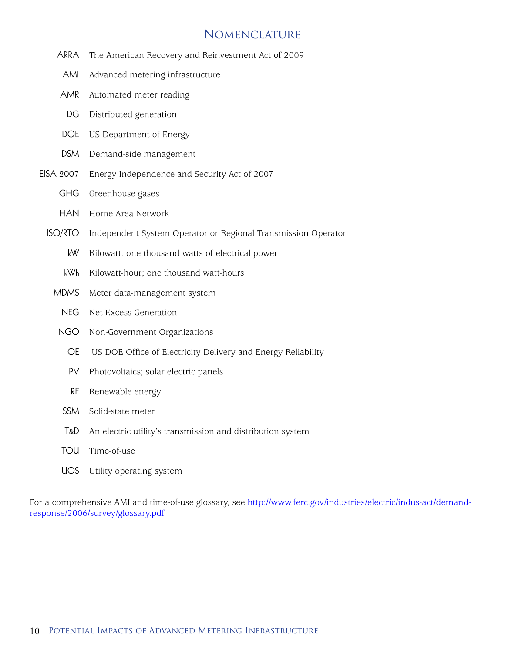### Nomenclature

- ARRA The American Recovery and Reinvestment Act of 2009
- AMI Advanced metering infrastructure
- AMR Automated meter reading
- DG Distributed generation
- DOE US Department of Energy
- DSM Demand-side management
- EISA 2007 Energy Independence and Security Act of 2007
	- GHG Greenhouse gases
	- HAN Home Area Network
	- ISO/RTO Independent System Operator or Regional Transmission Operator
		- kW Kilowatt: one thousand watts of electrical power
		- kWh Kilowatt-hour; one thousand watt-hours
		- MDMS Meter data-management system
			- NEG Net Excess Generation
		- NGO Non-Government Organizations
			- OE US DOE Office of Electricity Delivery and Energy Reliability
			- PV Photovoltaics; solar electric panels
			- RE Renewable energy
		- SSM Solid-state meter
		- T&D An electric utility's transmission and distribution system
		- TOU Time-of-use
		- UOS Utility operating system

For a comprehensive AMI and time-of-use glossary, see http://www.ferc.gov/industries/electric/indus-act/demandresponse/2006/survey/glossary.pdf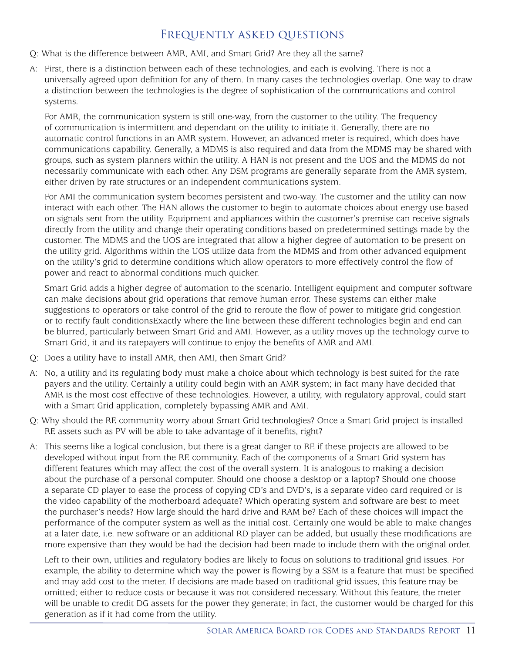# Frequently asked questions

- Q: What is the difference between AMR, AMI, and Smart Grid? Are they all the same?
- A: First, there is a distinction between each of these technologies, and each is evolving. There is not a universally agreed upon definition for any of them. In many cases the technologies overlap. One way to draw a distinction between the technologies is the degree of sophistication of the communications and control systems.

For AMR, the communication system is still one-way, from the customer to the utility. The frequency of communication is intermittent and dependant on the utility to initiate it. Generally, there are no automatic control functions in an AMR system. However, an advanced meter is required, which does have communications capability. Generally, a MDMS is also required and data from the MDMS may be shared with groups, such as system planners within the utility. A HAN is not present and the UOS and the MDMS do not necessarily communicate with each other. Any DSM programs are generally separate from the AMR system, either driven by rate structures or an independent communications system.

For AMI the communication system becomes persistent and two-way. The customer and the utility can now interact with each other. The HAN allows the customer to begin to automate choices about energy use based on signals sent from the utility. Equipment and appliances within the customer's premise can receive signals directly from the utility and change their operating conditions based on predetermined settings made by the customer. The MDMS and the UOS are integrated that allow a higher degree of automation to be present on the utility grid. Algorithms within the UOS utilize data from the MDMS and from other advanced equipment on the utility's grid to determine conditions which allow operators to more effectively control the flow of power and react to abnormal conditions much quicker.

Smart Grid adds a higher degree of automation to the scenario. Intelligent equipment and computer software can make decisions about grid operations that remove human error. These systems can either make suggestions to operators or take control of the grid to reroute the flow of power to mitigate grid congestion or to rectify fault conditionsExactly where the line between these different technologies begin and end can be blurred, particularly between Smart Grid and AMI. However, as a utility moves up the technology curve to Smart Grid, it and its ratepayers will continue to enjoy the benefits of AMR and AMI.

- Q: Does a utility have to install AMR, then AMI, then Smart Grid?
- A: No, a utility and its regulating body must make a choice about which technology is best suited for the rate payers and the utility. Certainly a utility could begin with an AMR system; in fact many have decided that AMR is the most cost effective of these technologies. However, a utility, with regulatory approval, could start with a Smart Grid application, completely bypassing AMR and AMI.
- Q: Why should the RE community worry about Smart Grid technologies? Once a Smart Grid project is installed RE assets such as PV will be able to take advantage of it benefits, right?
- A: This seems like a logical conclusion, but there is a great danger to RE if these projects are allowed to be developed without input from the RE community. Each of the components of a Smart Grid system has different features which may affect the cost of the overall system. It is analogous to making a decision about the purchase of a personal computer. Should one choose a desktop or a laptop? Should one choose a separate CD player to ease the process of copying CD's and DVD's, is a separate video card required or is the video capability of the motherboard adequate? Which operating system and software are best to meet the purchaser's needs? How large should the hard drive and RAM be? Each of these choices will impact the performance of the computer system as well as the initial cost. Certainly one would be able to make changes at a later date, i.e. new software or an additional RD player can be added, but usually these modifications are more expensive than they would be had the decision had been made to include them with the original order.

Left to their own, utilities and regulatory bodies are likely to focus on solutions to traditional grid issues. For example, the ability to determine which way the power is flowing by a SSM is a feature that must be specified and may add cost to the meter. If decisions are made based on traditional grid issues, this feature may be omitted; either to reduce costs or because it was not considered necessary. Without this feature, the meter will be unable to credit DG assets for the power they generate; in fact, the customer would be charged for this generation as if it had come from the utility.